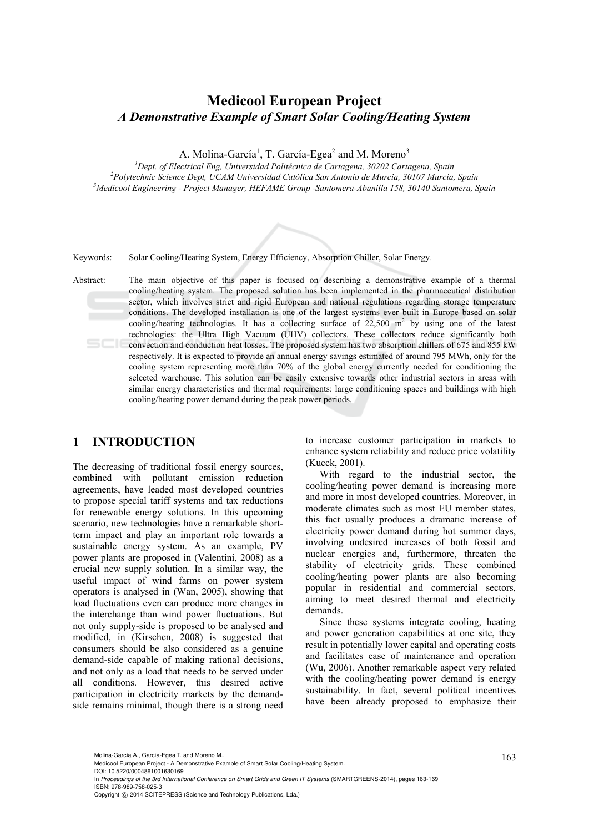# **Medicool European Project**  *A Demonstrative Example of Smart Solar Cooling/Heating System*

A. Molina-García<sup>1</sup>, T. García-Egea<sup>2</sup> and M. Moreno<sup>3</sup>

<sup>1</sup> Dept. of Electrical Eng, Universidad Politécnica de Cartagena, 30202 Cartagena, Spain <sup>2</sup> Debtschuis Science Dant *UCAM Universidad Cathling Sen Antonio de Munic*, 20107 Munic, *Polytechnic Science Dept, UCAM Universidad Católica San Antonio de Murcia, 30107 Murcia, Spain 3 Medicool Engineering - Project Manager, HEFAME Group -Santomera-Abanilla 158, 30140 Santomera, Spain* 



Keywords: Solar Cooling/Heating System, Energy Efficiency, Absorption Chiller, Solar Energy.

Abstract: The main objective of this paper is focused on describing a demonstrative example of a thermal cooling/heating system. The proposed solution has been implemented in the pharmaceutical distribution sector, which involves strict and rigid European and national regulations regarding storage temperature conditions. The developed installation is one of the largest systems ever built in Europe based on solar cooling/heating technologies. It has a collecting surface of  $22,500 \text{ m}^2$  by using one of the latest technologies: the Ultra High Vacuum (UHV) collectors. These collectors reduce significantly both convection and conduction heat losses. The proposed system has two absorption chillers of 675 and 855 kW respectively. It is expected to provide an annual energy savings estimated of around 795 MWh, only for the cooling system representing more than 70% of the global energy currently needed for conditioning the selected warehouse. This solution can be easily extensive towards other industrial sectors in areas with similar energy characteristics and thermal requirements: large conditioning spaces and buildings with high cooling/heating power demand during the peak power periods.

## **1 INTRODUCTION**

The decreasing of traditional fossil energy sources, combined with pollutant emission reduction agreements, have leaded most developed countries to propose special tariff systems and tax reductions for renewable energy solutions. In this upcoming scenario, new technologies have a remarkable shortterm impact and play an important role towards a sustainable energy system. As an example, PV power plants are proposed in (Valentini, 2008) as a crucial new supply solution. In a similar way, the useful impact of wind farms on power system operators is analysed in (Wan, 2005), showing that load fluctuations even can produce more changes in the interchange than wind power fluctuations. But not only supply-side is proposed to be analysed and modified, in (Kirschen, 2008) is suggested that consumers should be also considered as a genuine demand-side capable of making rational decisions, and not only as a load that needs to be served under all conditions. However, this desired active participation in electricity markets by the demandside remains minimal, though there is a strong need to increase customer participation in markets to enhance system reliability and reduce price volatility (Kueck, 2001).

With regard to the industrial sector, the cooling/heating power demand is increasing more and more in most developed countries. Moreover, in moderate climates such as most EU member states, this fact usually produces a dramatic increase of electricity power demand during hot summer days, involving undesired increases of both fossil and nuclear energies and, furthermore, threaten the stability of electricity grids. These combined cooling/heating power plants are also becoming popular in residential and commercial sectors, aiming to meet desired thermal and electricity demands.

Since these systems integrate cooling, heating and power generation capabilities at one site, they result in potentially lower capital and operating costs and facilitates ease of maintenance and operation (Wu, 2006). Another remarkable aspect very related with the cooling/heating power demand is energy sustainability. In fact, several political incentives have been already proposed to emphasize their

DOI: 10.5220/0004861001630169

In *Proceedings of the 3rd International Conference on Smart Grids and Green IT Systems* (SMARTGREENS-2014), pages 163-169 ISBN: 978-989-758-025-3

Molina-García A., García-Egea T. and Moreno M..<br>Medicool European Project - A Demonstrative Example of Smart Solar Cooling/Heating System.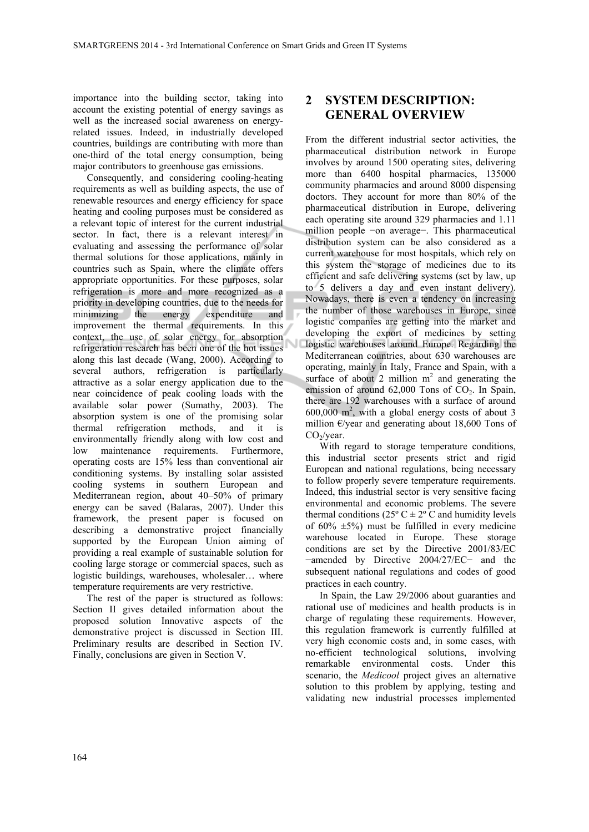importance into the building sector, taking into account the existing potential of energy savings as well as the increased social awareness on energyrelated issues. Indeed, in industrially developed countries, buildings are contributing with more than one-third of the total energy consumption, being major contributors to greenhouse gas emissions.

Consequently, and considering cooling-heating requirements as well as building aspects, the use of renewable resources and energy efficiency for space heating and cooling purposes must be considered as a relevant topic of interest for the current industrial sector. In fact, there is a relevant interest in evaluating and assessing the performance of solar thermal solutions for those applications, mainly in countries such as Spain, where the climate offers appropriate opportunities. For these purposes, solar refrigeration is more and more recognized as a priority in developing countries, due to the needs for minimizing the energy expenditure and improvement the thermal requirements. In this context, the use of solar energy for absorption refrigeration research has been one of the hot issues along this last decade (Wang, 2000). According to several authors, refrigeration is particularly attractive as a solar energy application due to the near coincidence of peak cooling loads with the available solar power (Sumathy, 2003). The absorption system is one of the promising solar thermal refrigeration methods, and it is environmentally friendly along with low cost and low maintenance requirements. Furthermore, operating costs are 15% less than conventional air conditioning systems. By installing solar assisted cooling systems in southern European and Mediterranean region, about 40–50% of primary energy can be saved (Balaras, 2007). Under this framework, the present paper is focused on describing a demonstrative project financially supported by the European Union aiming of providing a real example of sustainable solution for cooling large storage or commercial spaces, such as logistic buildings, warehouses, wholesaler… where temperature requirements are very restrictive.

The rest of the paper is structured as follows: Section II gives detailed information about the proposed solution Innovative aspects of the demonstrative project is discussed in Section III. Preliminary results are described in Section IV. Finally, conclusions are given in Section V.

# **2 SYSTEM DESCRIPTION: GENERAL OVERVIEW**

From the different industrial sector activities, the pharmaceutical distribution network in Europe involves by around 1500 operating sites, delivering more than 6400 hospital pharmacies, 135000 community pharmacies and around 8000 dispensing doctors. They account for more than 80% of the pharmaceutical distribution in Europe, delivering each operating site around 329 pharmacies and 1.11 million people −on average−. This pharmaceutical distribution system can be also considered as a current warehouse for most hospitals, which rely on this system the storage of medicines due to its efficient and safe delivering systems (set by law, up to 5 delivers a day and even instant delivery). Nowadays, there is even a tendency on increasing the number of those warehouses in Europe, since logistic companies are getting into the market and developing the export of medicines by setting logistic warehouses around Europe. Regarding the Mediterranean countries, about 630 warehouses are operating, mainly in Italy, France and Spain, with a surface of about 2 million  $m<sup>2</sup>$  and generating the emission of around  $62,000$  Tons of  $CO<sub>2</sub>$ . In Spain, there are 192 warehouses with a surface of around  $600,000$  m<sup>2</sup>, with a global energy costs of about 3 million  $\epsilon$ /year and generating about 18,600 Tons of  $CO<sub>2</sub>/year.$ 

With regard to storage temperature conditions, this industrial sector presents strict and rigid European and national regulations, being necessary to follow properly severe temperature requirements. Indeed, this industrial sector is very sensitive facing environmental and economic problems. The severe thermal conditions ( $25^{\circ}$  C  $\pm 2^{\circ}$  C and humidity levels of  $60\% \pm 5\%$  must be fulfilled in every medicine warehouse located in Europe. These storage conditions are set by the Directive 2001/83/EC −amended by Directive 2004/27/EC− and the subsequent national regulations and codes of good practices in each country.

In Spain, the Law 29/2006 about guaranties and rational use of medicines and health products is in charge of regulating these requirements. However, this regulation framework is currently fulfilled at very high economic costs and, in some cases, with no-efficient technological solutions, involving remarkable environmental costs. Under this scenario, the *Medicool* project gives an alternative solution to this problem by applying, testing and validating new industrial processes implemented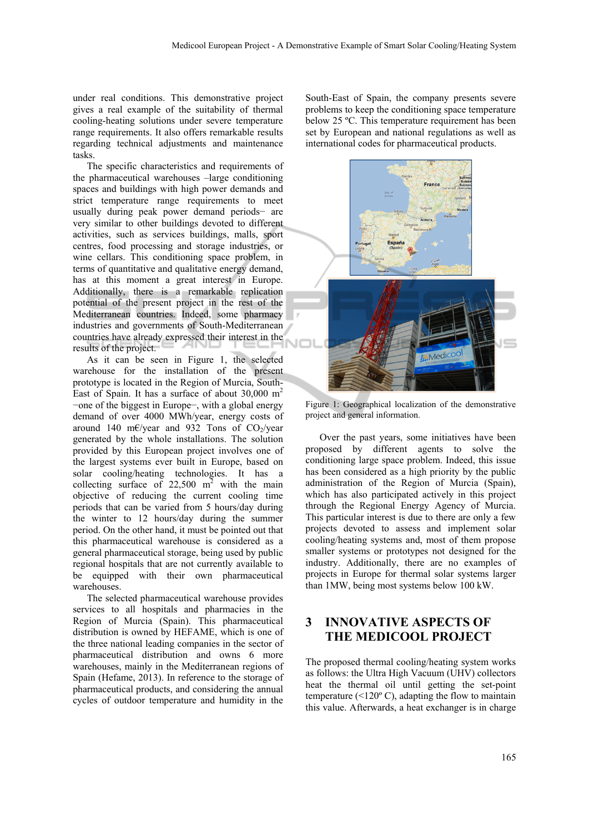under real conditions. This demonstrative project gives a real example of the suitability of thermal cooling-heating solutions under severe temperature range requirements. It also offers remarkable results regarding technical adjustments and maintenance tasks.

The specific characteristics and requirements of the pharmaceutical warehouses –large conditioning spaces and buildings with high power demands and strict temperature range requirements to meet usually during peak power demand periods− are very similar to other buildings devoted to different activities, such as services buildings, malls, sport centres, food processing and storage industries, or wine cellars. This conditioning space problem, in terms of quantitative and qualitative energy demand, has at this moment a great interest in Europe. Additionally, there is a remarkable replication potential of the present project in the rest of the Mediterranean countries. Indeed, some pharmacy industries and governments of South-Mediterranean countries have already expressed their interest in the results of the project.

As it can be seen in Figure 1, the selected warehouse for the installation of the present prototype is located in the Region of Murcia, South-East of Spain. It has a surface of about  $30,000 \text{ m}^2$ −one of the biggest in Europe−, with a global energy demand of over 4000 MWh/year, energy costs of around 140 m€/year and 932 Tons of  $CO<sub>2</sub>/year$ generated by the whole installations. The solution provided by this European project involves one of the largest systems ever built in Europe, based on solar cooling/heating technologies. It has a collecting surface of  $22,500 \text{ m}^2$  with the main objective of reducing the current cooling time periods that can be varied from 5 hours/day during the winter to 12 hours/day during the summer period. On the other hand, it must be pointed out that this pharmaceutical warehouse is considered as a general pharmaceutical storage, being used by public regional hospitals that are not currently available to be equipped with their own pharmaceutical warehouses.

The selected pharmaceutical warehouse provides services to all hospitals and pharmacies in the Region of Murcia (Spain). This pharmaceutical distribution is owned by HEFAME, which is one of the three national leading companies in the sector of pharmaceutical distribution and owns 6 more warehouses, mainly in the Mediterranean regions of Spain (Hefame, 2013). In reference to the storage of pharmaceutical products, and considering the annual cycles of outdoor temperature and humidity in the

South-East of Spain, the company presents severe problems to keep the conditioning space temperature below 25 °C. This temperature requirement has been set by European and national regulations as well as international codes for pharmaceutical products.



Figure 1: Geographical localization of the demonstrative project and general information.

Over the past years, some initiatives have been proposed by different agents to solve the conditioning large space problem. Indeed, this issue has been considered as a high priority by the public administration of the Region of Murcia (Spain), which has also participated actively in this project through the Regional Energy Agency of Murcia. This particular interest is due to there are only a few projects devoted to assess and implement solar cooling/heating systems and, most of them propose smaller systems or prototypes not designed for the industry. Additionally, there are no examples of projects in Europe for thermal solar systems larger than 1MW, being most systems below 100 kW.

# **3 INNOVATIVE ASPECTS OF THE MEDICOOL PROJECT**

The proposed thermal cooling/heating system works as follows: the Ultra High Vacuum (UHV) collectors heat the thermal oil until getting the set-point temperature  $($  <120 $\degree$  C), adapting the flow to maintain this value. Afterwards, a heat exchanger is in charge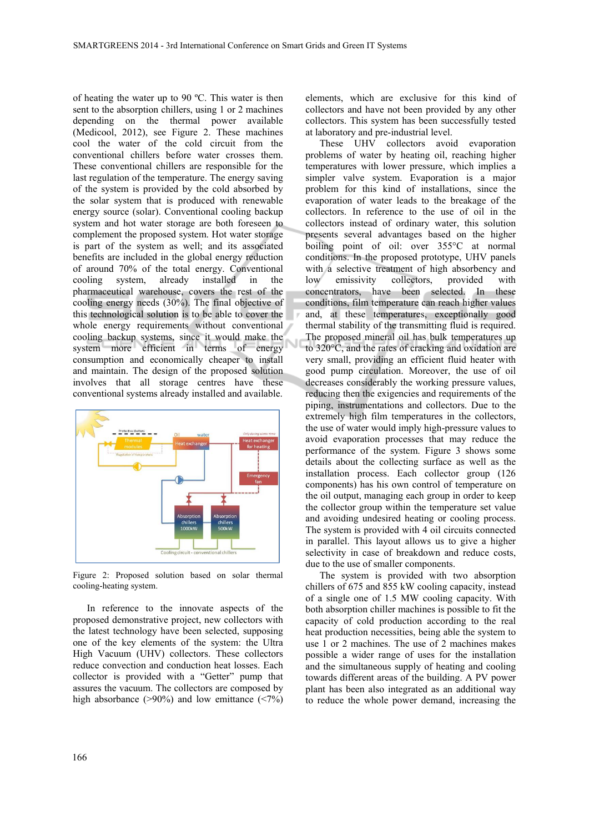of heating the water up to 90 ºC. This water is then sent to the absorption chillers, using 1 or 2 machines depending on the thermal power available (Medicool, 2012), see Figure 2. These machines cool the water of the cold circuit from the conventional chillers before water crosses them. These conventional chillers are responsible for the last regulation of the temperature. The energy saving of the system is provided by the cold absorbed by the solar system that is produced with renewable energy source (solar). Conventional cooling backup system and hot water storage are both foreseen to complement the proposed system. Hot water storage is part of the system as well; and its associated benefits are included in the global energy reduction of around 70% of the total energy. Conventional cooling system, already installed in the pharmaceutical warehouse, covers the rest of the cooling energy needs (30%). The final objective of this technological solution is to be able to cover the whole energy requirements without conventional cooling backup systems, since it would make the system more efficient in terms of energy consumption and economically cheaper to install and maintain. The design of the proposed solution involves that all storage centres have these conventional systems already installed and available.



Figure 2: Proposed solution based on solar thermal cooling-heating system.

In reference to the innovate aspects of the proposed demonstrative project, new collectors with the latest technology have been selected, supposing one of the key elements of the system: the Ultra High Vacuum (UHV) collectors. These collectors reduce convection and conduction heat losses. Each collector is provided with a "Getter" pump that assures the vacuum. The collectors are composed by high absorbance ( $>90\%$ ) and low emittance ( $<7\%$ )

elements, which are exclusive for this kind of collectors and have not been provided by any other collectors. This system has been successfully tested at laboratory and pre-industrial level.

These UHV collectors avoid evaporation problems of water by heating oil, reaching higher temperatures with lower pressure, which implies a simpler valve system. Evaporation is a major problem for this kind of installations, since the evaporation of water leads to the breakage of the collectors. In reference to the use of oil in the collectors instead of ordinary water, this solution presents several advantages based on the higher boiling point of oil: over 355°C at normal conditions. In the proposed prototype, UHV panels with a selective treatment of high absorbency and low emissivity collectors, provided with concentrators, have been selected. In these conditions, film temperature can reach higher values and, at these temperatures, exceptionally good thermal stability of the transmitting fluid is required. The proposed mineral oil has bulk temperatures up to 320°C, and the rates of cracking and oxidation are very small, providing an efficient fluid heater with good pump circulation. Moreover, the use of oil decreases considerably the working pressure values, reducing then the exigencies and requirements of the piping, instrumentations and collectors. Due to the extremely high film temperatures in the collectors, the use of water would imply high-pressure values to avoid evaporation processes that may reduce the performance of the system. Figure 3 shows some details about the collecting surface as well as the installation process. Each collector group (126 components) has his own control of temperature on the oil output, managing each group in order to keep the collector group within the temperature set value and avoiding undesired heating or cooling process. The system is provided with 4 oil circuits connected in parallel. This layout allows us to give a higher selectivity in case of breakdown and reduce costs, due to the use of smaller components.

The system is provided with two absorption chillers of 675 and 855 kW cooling capacity, instead of a single one of 1.5 MW cooling capacity. With both absorption chiller machines is possible to fit the capacity of cold production according to the real heat production necessities, being able the system to use 1 or 2 machines. The use of 2 machines makes possible a wider range of uses for the installation and the simultaneous supply of heating and cooling towards different areas of the building. A PV power plant has been also integrated as an additional way to reduce the whole power demand, increasing the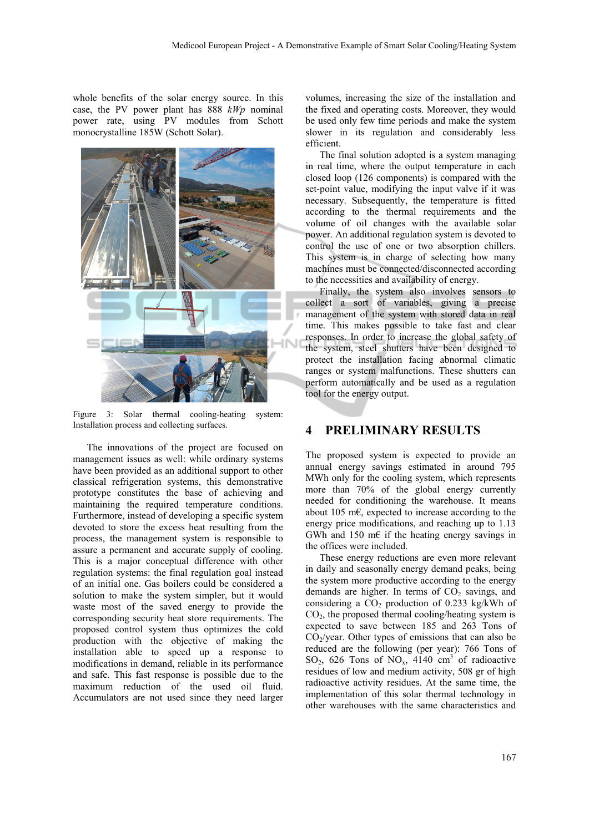whole benefits of the solar energy source. In this case, the PV power plant has 888 *kWp* nominal power rate, using PV modules from Schott monocrystalline 185W (Schott Solar).



Figure 3: Solar thermal cooling-heating system: Installation process and collecting surfaces.

The innovations of the project are focused on management issues as well: while ordinary systems have been provided as an additional support to other classical refrigeration systems, this demonstrative prototype constitutes the base of achieving and maintaining the required temperature conditions. Furthermore, instead of developing a specific system devoted to store the excess heat resulting from the process, the management system is responsible to assure a permanent and accurate supply of cooling. This is a major conceptual difference with other regulation systems: the final regulation goal instead of an initial one. Gas boilers could be considered a solution to make the system simpler, but it would waste most of the saved energy to provide the corresponding security heat store requirements. The proposed control system thus optimizes the cold production with the objective of making the installation able to speed up a response to modifications in demand, reliable in its performance and safe. This fast response is possible due to the maximum reduction of the used oil fluid. Accumulators are not used since they need larger

volumes, increasing the size of the installation and the fixed and operating costs. Moreover, they would be used only few time periods and make the system slower in its regulation and considerably less efficient.

The final solution adopted is a system managing in real time, where the output temperature in each closed loop (126 components) is compared with the set-point value, modifying the input valve if it was necessary. Subsequently, the temperature is fitted according to the thermal requirements and the volume of oil changes with the available solar power. An additional regulation system is devoted to control the use of one or two absorption chillers. This system is in charge of selecting how many machines must be connected/disconnected according to the necessities and availability of energy.

Finally, the system also involves sensors to collect a sort of variables, giving a precise management of the system with stored data in real time. This makes possible to take fast and clear responses. In order to increase the global safety of the system, steel shutters have been designed to protect the installation facing abnormal climatic ranges or system malfunctions. These shutters can perform automatically and be used as a regulation tool for the energy output.

### **4 PRELIMINARY RESULTS**

The proposed system is expected to provide an annual energy savings estimated in around 795 MWh only for the cooling system, which represents more than 70% of the global energy currently needed for conditioning the warehouse. It means about 105 m€, expected to increase according to the energy price modifications, and reaching up to 1.13 GWh and 150 m $\epsilon$  if the heating energy savings in the offices were included.

These energy reductions are even more relevant in daily and seasonally energy demand peaks, being the system more productive according to the energy demands are higher. In terms of  $CO<sub>2</sub>$  savings, and considering a  $CO<sub>2</sub>$  production of 0.233 kg/kWh of  $CO<sub>2</sub>$ , the proposed thermal cooling/heating system is expected to save between 185 and 263 Tons of  $CO<sub>2</sub>/year$ . Other types of emissions that can also be reduced are the following (per year): 766 Tons of  $SO_2$ , 626 Tons of  $NO_x$ , 4140 cm<sup>3</sup> of radioactive residues of low and medium activity, 508 gr of high radioactive activity residues. At the same time, the implementation of this solar thermal technology in other warehouses with the same characteristics and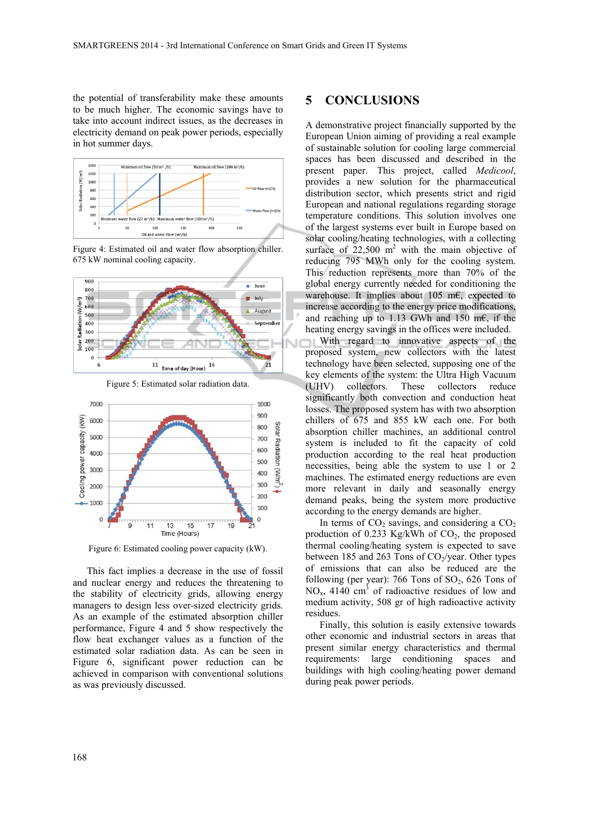the potential of transferability make these amounts to be much higher. The economic savings have to take into account indirect issues, as the decreases in electricity demand on peak power periods, especially in hot summer days.









Figure 6: Estimated cooling power capacity (kW).

This fact implies a decrease in the use of fossil and nuclear energy and reduces the threatening to the stability of electricity grids, allowing energy managers to design less over-sized electricity grids. As an example of the estimated absorption chiller performance, Figure 4 and 5 show respectively the flow heat exchanger values as a function of the estimated solar radiation data. As can be seen in Figure 6, significant power reduction can be achieved in comparison with conventional solutions as was previously discussed.

#### **5 CONCLUSIONS**

A demonstrative project financially supported by the European Union aiming of providing a real example of sustainable solution for cooling large commercial spaces has been discussed and described in the present paper. This project, called *Medicool*, provides a new solution for the pharmaceutical distribution sector, which presents strict and rigid European and national regulations regarding storage temperature conditions. This solution involves one of the largest systems ever built in Europe based on solar cooling/heating technologies, with a collecting surface of  $22,500$  m<sup>2</sup> with the main objective of reducing 795 MWh only for the cooling system. This reduction represents more than 70% of the global energy currently needed for conditioning the warehouse. It implies about 105 m $\epsilon$ , expected to increase according to the energy price modifications, and reaching up to 1.13 GWh and 150 m€, if the heating energy savings in the offices were included. With regard to innovative aspects of the proposed system, new collectors with the latest technology have been selected, supposing one of the key elements of the system: the Ultra High Vacuum (UHV) collectors. These collectors reduce significantly both convection and conduction heat losses. The proposed system has with two absorption chillers of 675 and 855 kW each one. For both absorption chiller machines, an additional control system is included to fit the capacity of cold production according to the real heat production necessities, being able the system to use 1 or 2 machines. The estimated energy reductions are even more relevant in daily and seasonally energy demand peaks, being the system more productive

In terms of  $CO<sub>2</sub>$  savings, and considering a  $CO<sub>2</sub>$ production of  $0.233$  Kg/kWh of  $CO<sub>2</sub>$ , the proposed thermal cooling/heating system is expected to save between 185 and 263 Tons of  $CO_2$ /year. Other types of emissions that can also be reduced are the following (per year): 766 Tons of  $SO_2$ , 626 Tons of  $NO<sub>x</sub>$ , 4140 cm<sup>3</sup> of radioactive residues of low and medium activity, 508 gr of high radioactive activity residues.

according to the energy demands are higher.

Finally, this solution is easily extensive towards other economic and industrial sectors in areas that present similar energy characteristics and thermal requirements: large conditioning spaces and buildings with high cooling/heating power demand during peak power periods.